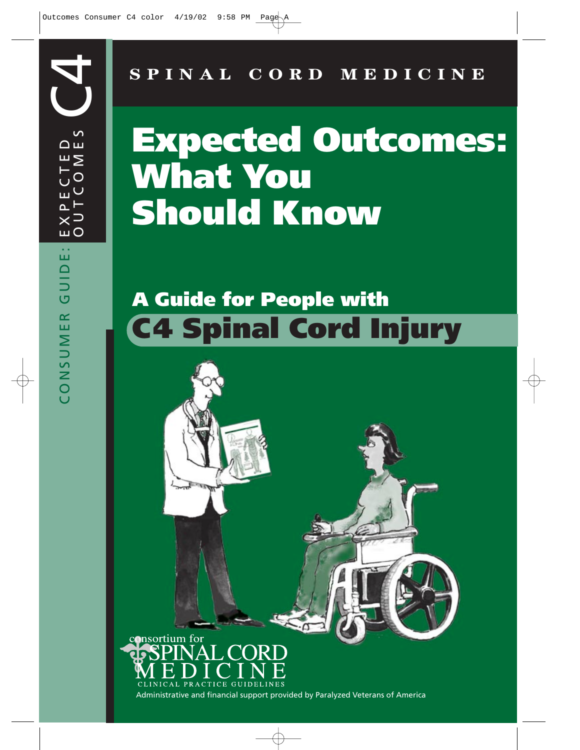**SPINAL CORD MEDICINE**

# **Expected Outcomes: What You Should Know**

## **A Guide for People with C4 Spinal Cord Injury**

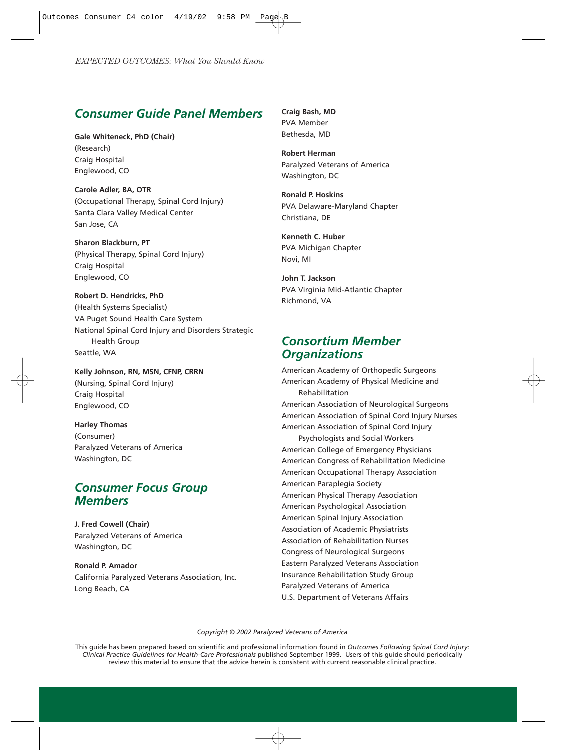#### *Consumer Guide Panel Members*

**Gale Whiteneck, PhD (Chair)** (Research) Craig Hospital Englewood, CO

**Carole Adler, BA, OTR** (Occupational Therapy, Spinal Cord Injury) Santa Clara Valley Medical Center San Jose, CA

**Sharon Blackburn, PT** (Physical Therapy, Spinal Cord Injury) Craig Hospital Englewood, CO

**Robert D. Hendricks, PhD** (Health Systems Specialist) VA Puget Sound Health Care System National Spinal Cord Injury and Disorders Strategic Health Group Seattle, WA

**Kelly Johnson, RN, MSN, CFNP, CRRN** (Nursing, Spinal Cord Injury) Craig Hospital Englewood, CO

**Harley Thomas** (Consumer) Paralyzed Veterans of America Washington, DC

#### *Consumer Focus Group Members*

**J. Fred Cowell (Chair)** Paralyzed Veterans of America Washington, DC

**Ronald P. Amador** California Paralyzed Veterans Association, Inc. Long Beach, CA

**Craig Bash, MD** PVA Member Bethesda, MD

**Robert Herman** Paralyzed Veterans of America Washington, DC

**Ronald P. Hoskins** PVA Delaware-Maryland Chapter Christiana, DE

**Kenneth C. Huber** PVA Michigan Chapter Novi, MI

**John T. Jackson** PVA Virginia Mid-Atlantic Chapter Richmond, VA

#### *Consortium Member Organizations*

American Academy of Orthopedic Surgeons American Academy of Physical Medicine and Rehabilitation American Association of Neurological Surgeons American Association of Spinal Cord Injury Nurses American Association of Spinal Cord Injury Psychologists and Social Workers American College of Emergency Physicians American Congress of Rehabilitation Medicine American Occupational Therapy Association American Paraplegia Society American Physical Therapy Association American Psychological Association American Spinal Injury Association Association of Academic Physiatrists Association of Rehabilitation Nurses Congress of Neurological Surgeons Eastern Paralyzed Veterans Association Insurance Rehabilitation Study Group Paralyzed Veterans of America U.S. Department of Veterans Affairs

*Copyright © 2002 Paralyzed Veterans of America*

This guide has been prepared based on scientific and professional information found in *Outcomes Following Spinal Cord Injury: Clinical Practice Guidelines for Health-Care Professionals* published September 1999. Users of this guide should periodically review this material to ensure that the advice herein is consistent with current reasonable clinical practice.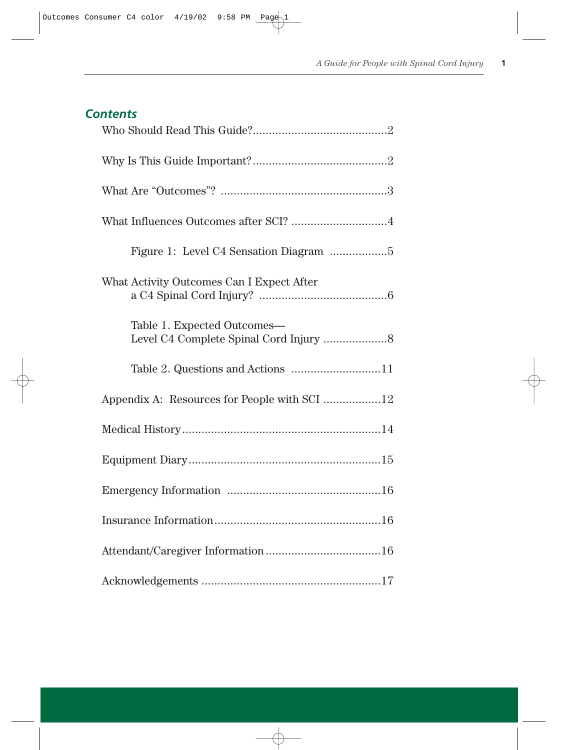#### *Contents*

| What Influences Outcomes after SCI? 4        |
|----------------------------------------------|
|                                              |
| What Activity Outcomes Can I Expect After    |
| Table 1. Expected Outcomes-                  |
|                                              |
| Appendix A: Resources for People with SCI 12 |
|                                              |
|                                              |
|                                              |
|                                              |
|                                              |
|                                              |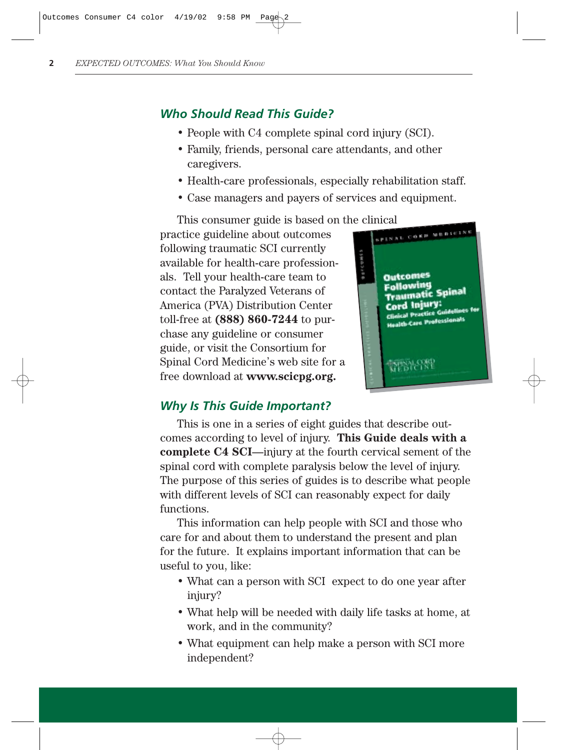#### *Who Should Read This Guide?*

- People with C4 complete spinal cord injury (SCI).
- Family, friends, personal care attendants, and other caregivers.
- Health-care professionals, especially rehabilitation staff.
- Case managers and payers of services and equipment.

This consumer guide is based on the clinical extension of the clinical extension of the consumers practice guideline about outcomes following traumatic SCI currently available for health-care professionals. Tell your health-care team to contact the Paralyzed Veterans of America (PVA) Distribution Center toll-free at **(888) 860-7244** to purchase any guideline or consumer guide, or visit the Consortium for Spinal Cord Medicine's web site for a free download at **www.scicpg.org.**



#### *Why Is This Guide Important?*

This is one in a series of eight guides that describe outcomes according to level of injury. **This Guide deals with a complete C4 SCI**—injury at the fourth cervical sement of the spinal cord with complete paralysis below the level of injury. The purpose of this series of guides is to describe what people with different levels of SCI can reasonably expect for daily functions.

This information can help people with SCI and those who care for and about them to understand the present and plan for the future. It explains important information that can be useful to you, like:

- What can a person with SCI expect to do one year after injury?
- What help will be needed with daily life tasks at home, at work, and in the community?
- What equipment can help make a person with SCI more independent?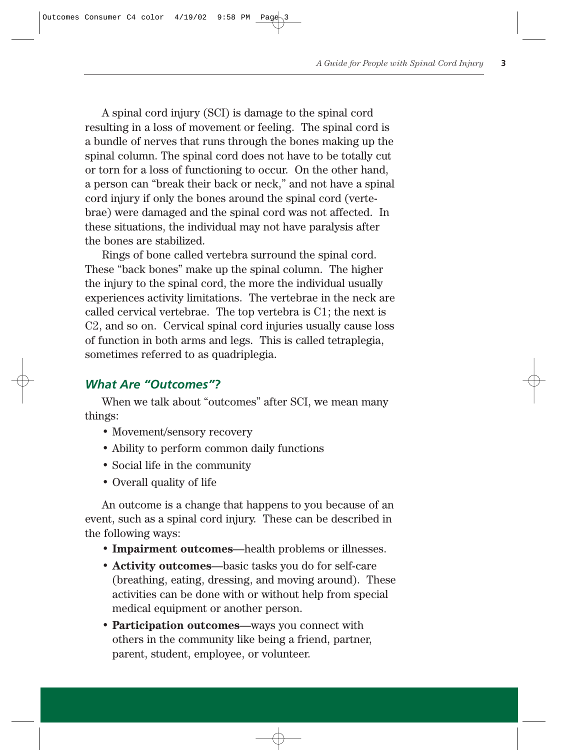A spinal cord injury (SCI) is damage to the spinal cord resulting in a loss of movement or feeling. The spinal cord is a bundle of nerves that runs through the bones making up the spinal column. The spinal cord does not have to be totally cut or torn for a loss of functioning to occur. On the other hand, a person can "break their back or neck," and not have a spinal cord injury if only the bones around the spinal cord (vertebrae) were damaged and the spinal cord was not affected. In these situations, the individual may not have paralysis after the bones are stabilized.

Rings of bone called vertebra surround the spinal cord. These "back bones" make up the spinal column. The higher the injury to the spinal cord, the more the individual usually experiences activity limitations. The vertebrae in the neck are called cervical vertebrae. The top vertebra is C1; the next is C2, and so on. Cervical spinal cord injuries usually cause loss of function in both arms and legs. This is called tetraplegia, sometimes referred to as quadriplegia.

#### *What Are "Outcomes"?*

When we talk about "outcomes" after SCI, we mean many things:

- Movement/sensory recovery
- Ability to perform common daily functions
- Social life in the community
- Overall quality of life

An outcome is a change that happens to you because of an event, such as a spinal cord injury. These can be described in the following ways:

- **Impairment outcomes**—health problems or illnesses.
- **Activity outcomes**—basic tasks you do for self-care (breathing, eating, dressing, and moving around). These activities can be done with or without help from special medical equipment or another person.
- **Participation outcomes**—ways you connect with others in the community like being a friend, partner, parent, student, employee, or volunteer.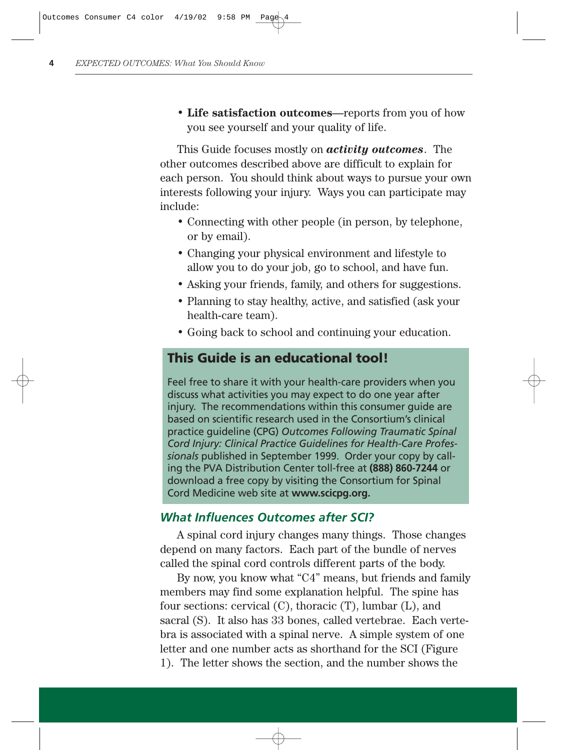• **Life satisfaction outcomes**—reports from you of how you see yourself and your quality of life.

This Guide focuses mostly on *activity outcomes*. The other outcomes described above are difficult to explain for each person. You should think about ways to pursue your own interests following your injury. Ways you can participate may include:

- Connecting with other people (in person, by telephone, or by email).
- Changing your physical environment and lifestyle to allow you to do your job, go to school, and have fun.
- Asking your friends, family, and others for suggestions.
- Planning to stay healthy, active, and satisfied (ask your health-care team).
- Going back to school and continuing your education.

## **This Guide is an educational tool!**

Feel free to share it with your health-care providers when you discuss what activities you may expect to do one year after injury. The recommendations within this consumer guide are based on scientific research used in the Consortium's clinical practice guideline (CPG) *Outcomes Following Traumatic Spinal Cord Injury: Clinical Practice Guidelines for Health-Care Professionals* published in September 1999. Order your copy by calling the PVA Distribution Center toll-free at **(888) 860-7244** or download a free copy by visiting the Consortium for Spinal Cord Medicine web site at **www.scicpg.org.**

#### *What Influences Outcomes after SCI?*

A spinal cord injury changes many things. Those changes depend on many factors. Each part of the bundle of nerves called the spinal cord controls different parts of the body.

By now, you know what "C4" means, but friends and family members may find some explanation helpful. The spine has four sections: cervical (C), thoracic (T), lumbar (L), and sacral (S). It also has 33 bones, called vertebrae. Each vertebra is associated with a spinal nerve. A simple system of one letter and one number acts as shorthand for the SCI (Figure 1). The letter shows the section, and the number shows the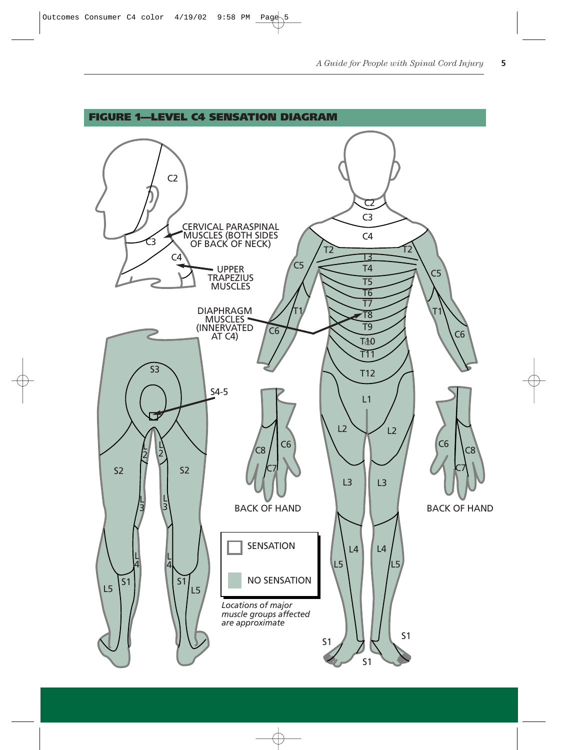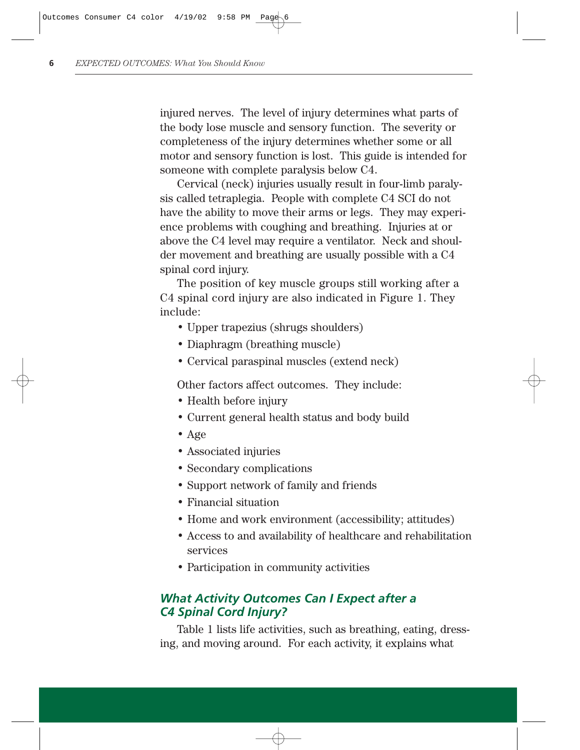injured nerves. The level of injury determines what parts of the body lose muscle and sensory function. The severity or completeness of the injury determines whether some or all motor and sensory function is lost. This guide is intended for someone with complete paralysis below C4.

Cervical (neck) injuries usually result in four-limb paralysis called tetraplegia. People with complete C4 SCI do not have the ability to move their arms or legs. They may experience problems with coughing and breathing. Injuries at or above the C4 level may require a ventilator. Neck and shoulder movement and breathing are usually possible with a C4 spinal cord injury.

The position of key muscle groups still working after a C4 spinal cord injury are also indicated in Figure 1. They include:

- Upper trapezius (shrugs shoulders)
- Diaphragm (breathing muscle)
- Cervical paraspinal muscles (extend neck)

Other factors affect outcomes. They include:

- Health before injury
- Current general health status and body build
- Age
- Associated injuries
- Secondary complications
- Support network of family and friends
- Financial situation
- Home and work environment (accessibility; attitudes)
- Access to and availability of healthcare and rehabilitation services
- Participation in community activities

#### *What Activity Outcomes Can I Expect after a C4 Spinal Cord Injury?*

Table 1 lists life activities, such as breathing, eating, dressing, and moving around. For each activity, it explains what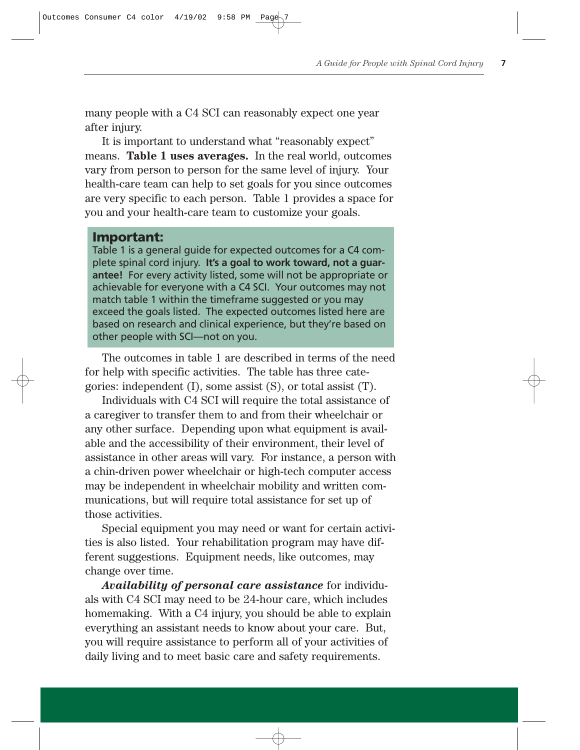many people with a C4 SCI can reasonably expect one year after injury.

It is important to understand what "reasonably expect" means. **Table 1 uses averages.** In the real world, outcomes vary from person to person for the same level of injury. Your health-care team can help to set goals for you since outcomes are very specific to each person. Table 1 provides a space for you and your health-care team to customize your goals.

#### **Important:**

Table 1 is a general guide for expected outcomes for a C4 complete spinal cord injury. **It's a goal to work toward, not a guarantee!** For every activity listed, some will not be appropriate or achievable for everyone with a C4 SCI. Your outcomes may not match table 1 within the timeframe suggested or you may exceed the goals listed. The expected outcomes listed here are based on research and clinical experience, but they're based on other people with SCI—not on you.

The outcomes in table 1 are described in terms of the need for help with specific activities. The table has three categories: independent (I), some assist (S), or total assist (T).

Individuals with C4 SCI will require the total assistance of a caregiver to transfer them to and from their wheelchair or any other surface. Depending upon what equipment is available and the accessibility of their environment, their level of assistance in other areas will vary. For instance, a person with a chin-driven power wheelchair or high-tech computer access may be independent in wheelchair mobility and written communications, but will require total assistance for set up of those activities.

Special equipment you may need or want for certain activities is also listed. Your rehabilitation program may have different suggestions. Equipment needs, like outcomes, may change over time.

*Availability of personal care assistance* for individuals with C4 SCI may need to be 24-hour care, which includes homemaking. With a C4 injury, you should be able to explain everything an assistant needs to know about your care. But, you will require assistance to perform all of your activities of daily living and to meet basic care and safety requirements.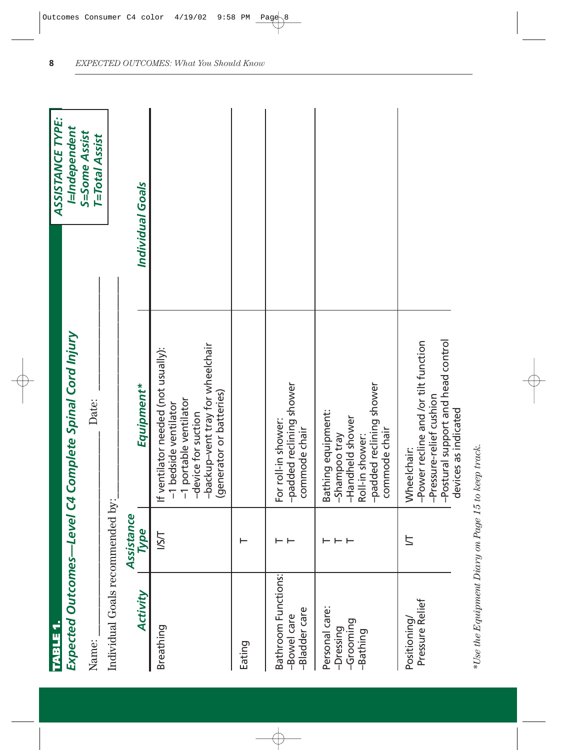| TABLE 1.                                             |                    |                                                                                                                                                                               | <b>ASSISTANCE TYPE:</b>                |
|------------------------------------------------------|--------------------|-------------------------------------------------------------------------------------------------------------------------------------------------------------------------------|----------------------------------------|
|                                                      |                    | Expected Outcomes—Level C4 Complete Spinal Cord Injury                                                                                                                        | I=Independent                          |
| Name:                                                |                    | Date:                                                                                                                                                                         | S=Some Assist<br><b>T=Total Assist</b> |
| Individual Goals recommended by:                     |                    |                                                                                                                                                                               |                                        |
| Activity                                             | Assistance<br>Type | Equipment*                                                                                                                                                                    | Individual Goals                       |
| Breathing                                            | I/S/T              | -backup-vent tray for wheelchair<br>If ventilator needed (not usually):<br>(generator or batteries)<br>-1 portable ventilator<br>-1 bedside ventilator<br>-device for suction |                                        |
| Eating                                               |                    |                                                                                                                                                                               |                                        |
| Bathroom Functions:<br>-Bladder care<br>-Bowel care  | ⊢ ⊢                | -padded reclining shower<br>For roll-in shower:<br>commode chair                                                                                                              |                                        |
| Personal care:<br>-Grooming<br>-Dressing<br>-Bathing | ⊢ ⊢ ⊢              | -padded reclining shower<br>Bathing equipment:<br>-Handheld shower<br>commode chair<br>-Shampoo tray<br>Roll-in shower:                                                       |                                        |
| Pressure Relief<br>Positioning                       | $\overline{z}$     | -Postural support and head control<br>-Power recline and /or tilt function<br>-Pressure-relief cushion<br>devices as indicated<br>Wheelchair:                                 |                                        |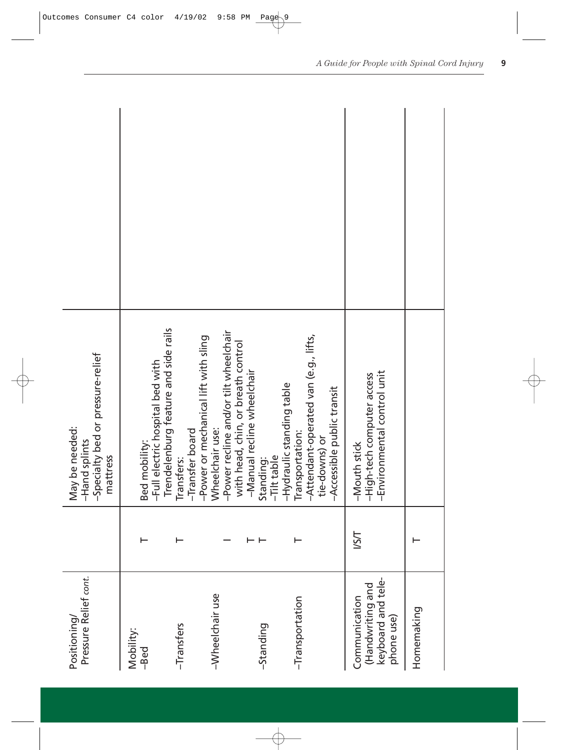| Pressure Relief cont.<br>Positioning/                                 |      | -Specialty bed or pressure-relief<br>May be needed:<br>-Hand splints<br>mattress                                                       |  |
|-----------------------------------------------------------------------|------|----------------------------------------------------------------------------------------------------------------------------------------|--|
| Mobility:<br>-Bed                                                     |      | -Full electric hospital bed with<br>Bed mobility:                                                                                      |  |
| -Transfers                                                            |      | Trendelenburg feature and side rails<br>-Transfer board<br>Transfers:                                                                  |  |
| -Wheelchair use                                                       |      | -Power recline and/or tilt wheelchair<br>-Power or mechanical lift with sling<br>with head, chin, or breath control<br>Wheelchair use: |  |
| -Standing                                                             |      | -Manual recline wheelchair<br>-Tilt table<br>Standing:                                                                                 |  |
| -Transportation                                                       |      | -Attendant-operated van (e.g., lifts,<br>-Hydraulic standing table<br>-Accessible public transit<br>Transportation:<br>tie-downs) or   |  |
| keyboard and tele-<br>(Handwriting and<br>Communication<br>phone use) | I/SI | -Environmental control unit<br>-High-tech computer access<br>-Mouth stick                                                              |  |
| Homemaking                                                            |      |                                                                                                                                        |  |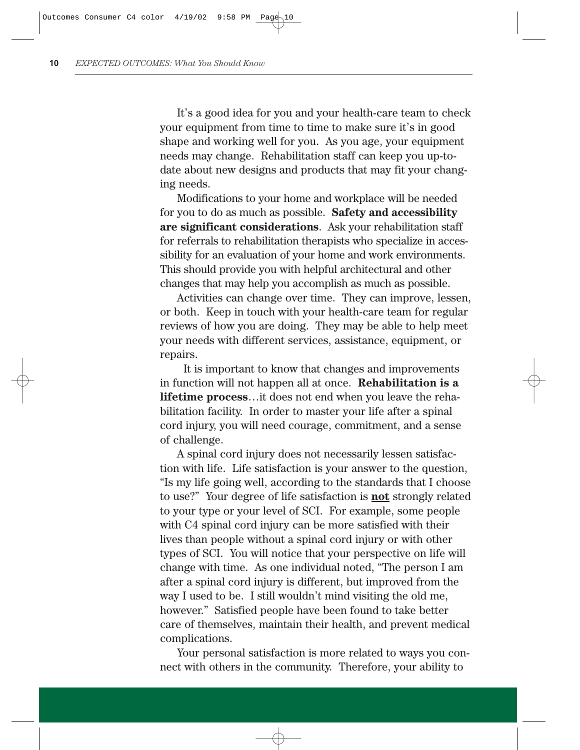It's a good idea for you and your health-care team to check your equipment from time to time to make sure it's in good shape and working well for you. As you age, your equipment needs may change. Rehabilitation staff can keep you up-todate about new designs and products that may fit your changing needs.

Modifications to your home and workplace will be needed for you to do as much as possible. **Safety and accessibility are significant considerations**. Ask your rehabilitation staff for referrals to rehabilitation therapists who specialize in accessibility for an evaluation of your home and work environments. This should provide you with helpful architectural and other changes that may help you accomplish as much as possible.

Activities can change over time. They can improve, lessen, or both. Keep in touch with your health-care team for regular reviews of how you are doing. They may be able to help meet your needs with different services, assistance, equipment, or repairs.

It is important to know that changes and improvements in function will not happen all at once. **Rehabilitation is a lifetime process**…it does not end when you leave the rehabilitation facility. In order to master your life after a spinal cord injury, you will need courage, commitment, and a sense of challenge.

A spinal cord injury does not necessarily lessen satisfaction with life. Life satisfaction is your answer to the question, "Is my life going well, according to the standards that I choose to use?" Your degree of life satisfaction is **not** strongly related to your type or your level of SCI. For example, some people with C4 spinal cord injury can be more satisfied with their lives than people without a spinal cord injury or with other types of SCI. You will notice that your perspective on life will change with time. As one individual noted, "The person I am after a spinal cord injury is different, but improved from the way I used to be. I still wouldn't mind visiting the old me, however." Satisfied people have been found to take better care of themselves, maintain their health, and prevent medical complications.

Your personal satisfaction is more related to ways you connect with others in the community. Therefore, your ability to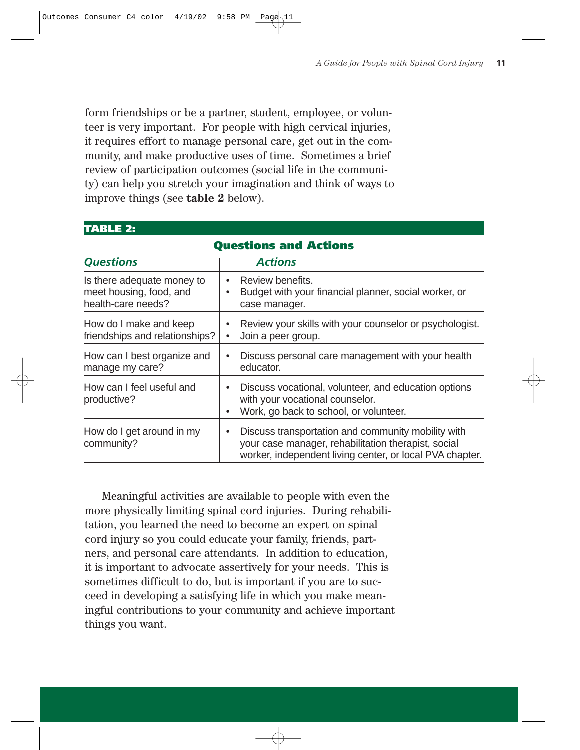form friendships or be a partner, student, employee, or volunteer is very important. For people with high cervical injuries, it requires effort to manage personal care, get out in the community, and make productive uses of time. Sometimes a brief review of participation outcomes (social life in the community) can help you stretch your imagination and think of ways to improve things (see **table 2** below).

**TABLE 2:** 

|                                                                             | <b>Questions and Actions</b>                                                                                                                                          |
|-----------------------------------------------------------------------------|-----------------------------------------------------------------------------------------------------------------------------------------------------------------------|
| <b>Questions</b>                                                            | <b>Actions</b>                                                                                                                                                        |
| Is there adequate money to<br>meet housing, food, and<br>health-care needs? | Review benefits.<br>Budget with your financial planner, social worker, or<br>case manager.                                                                            |
| How do I make and keep<br>friendships and relationships?                    | Review your skills with your counselor or psychologist.<br>Join a peer group.                                                                                         |
| How can I best organize and<br>manage my care?                              | Discuss personal care management with your health<br>$\bullet$<br>educator.                                                                                           |
| How can I feel useful and<br>productive?                                    | Discuss vocational, volunteer, and education options<br>with your vocational counselor.<br>Work, go back to school, or volunteer.                                     |
| How do I get around in my<br>community?                                     | Discuss transportation and community mobility with<br>your case manager, rehabilitation therapist, social<br>worker, independent living center, or local PVA chapter. |

Meaningful activities are available to people with even the more physically limiting spinal cord injuries. During rehabilitation, you learned the need to become an expert on spinal cord injury so you could educate your family, friends, partners, and personal care attendants. In addition to education, it is important to advocate assertively for your needs. This is sometimes difficult to do, but is important if you are to succeed in developing a satisfying life in which you make meaningful contributions to your community and achieve important things you want.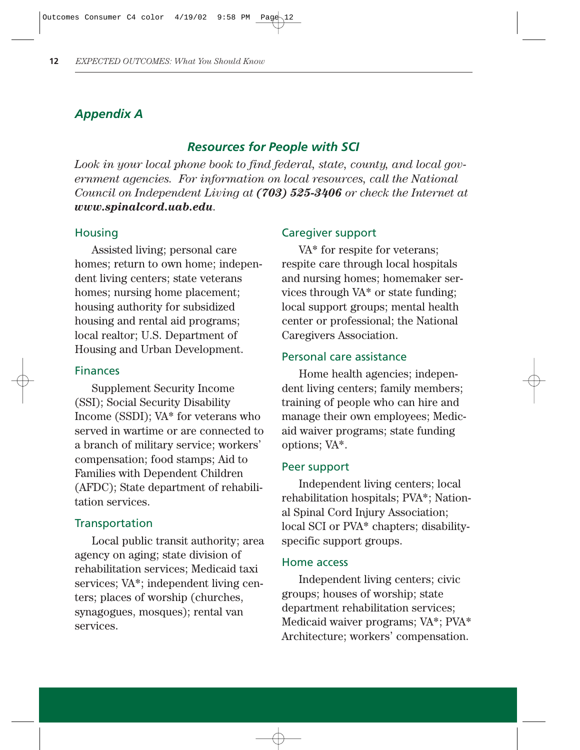#### *Appendix A*

#### *Resources for People with SCI*

*Look in your local phone book to find federal, state, county, and local government agencies. For information on local resources, call the National Council on Independent Living at (703) 525-3406 or check the Internet at www.spinalcord.uab.edu.*

#### **Housing**

Assisted living; personal care homes; return to own home; independent living centers; state veterans homes; nursing home placement; housing authority for subsidized housing and rental aid programs; local realtor; U.S. Department of Housing and Urban Development.

#### Finances

Supplement Security Income (SSI); Social Security Disability Income (SSDI); VA\* for veterans who served in wartime or are connected to a branch of military service; workers' compensation; food stamps; Aid to Families with Dependent Children (AFDC); State department of rehabilitation services.

#### **Transportation**

Local public transit authority; area agency on aging; state division of rehabilitation services; Medicaid taxi services; VA\*; independent living centers; places of worship (churches, synagogues, mosques); rental van services.

#### Caregiver support

VA\* for respite for veterans; respite care through local hospitals and nursing homes; homemaker services through VA\* or state funding; local support groups; mental health center or professional; the National Caregivers Association.

#### Personal care assistance

Home health agencies; independent living centers; family members; training of people who can hire and manage their own employees; Medicaid waiver programs; state funding options; VA\*.

#### Peer support

Independent living centers; local rehabilitation hospitals; PVA\*; National Spinal Cord Injury Association; local SCI or PVA\* chapters; disabilityspecific support groups.

#### Home access

Independent living centers; civic groups; houses of worship; state department rehabilitation services; Medicaid waiver programs; VA\*; PVA\* Architecture; workers' compensation.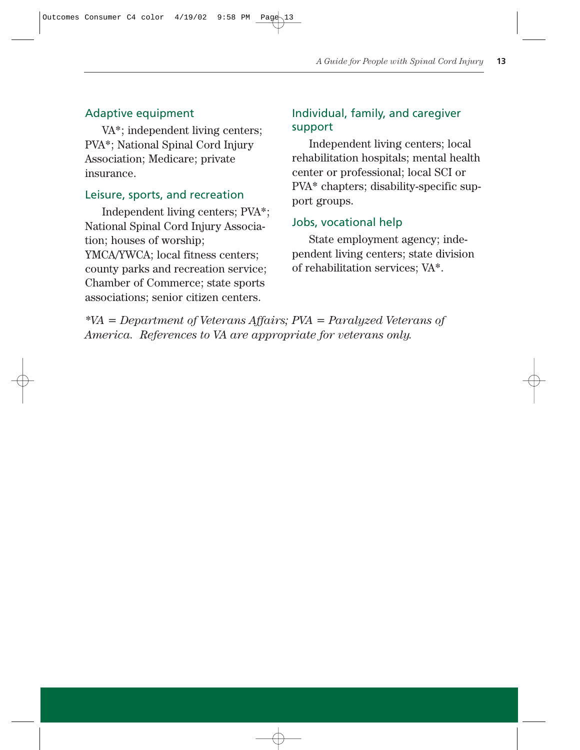#### Adaptive equipment

VA\*; independent living centers; PVA\*; National Spinal Cord Injury Association; Medicare; private insurance.

#### Leisure, sports, and recreation

Independent living centers; PVA\*; National Spinal Cord Injury Association; houses of worship; YMCA/YWCA; local fitness centers; county parks and recreation service; Chamber of Commerce; state sports associations; senior citizen centers.

#### Individual, family, and caregiver support

Independent living centers; local rehabilitation hospitals; mental health center or professional; local SCI or PVA\* chapters; disability-specific support groups.

#### Jobs, vocational help

State employment agency; independent living centers; state division of rehabilitation services; VA\*.

*\*VA = Department of Veterans Affairs; PVA = Paralyzed Veterans of America. References to VA are appropriate for veterans only.*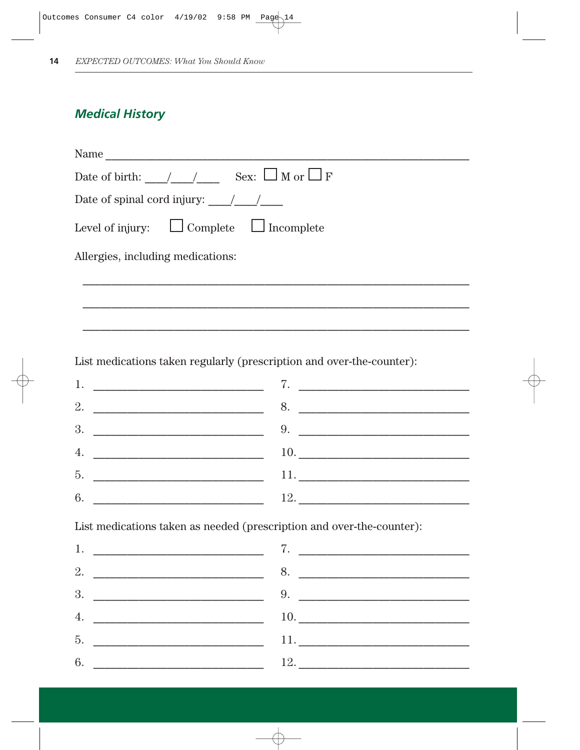## **Medical History**

List medications taken as needed (prescription and over-the-counter):

 $6.$ 

| 1.                                                                                                                          | 7.                  |
|-----------------------------------------------------------------------------------------------------------------------------|---------------------|
| 2.                                                                                                                          | 8.                  |
| 3.                                                                                                                          | 9.                  |
| 4.<br><u> 1980 - John Harry Harry Harry Harry Harry Harry Harry Harry Harry Harry Harry Harry Harry Harry Harry Harry H</u> |                     |
| 5.                                                                                                                          | 11. $\qquad \qquad$ |
| 6.<br><u> 1989 - Johann Barbara, martxa alemaniar a</u>                                                                     |                     |

 $12.$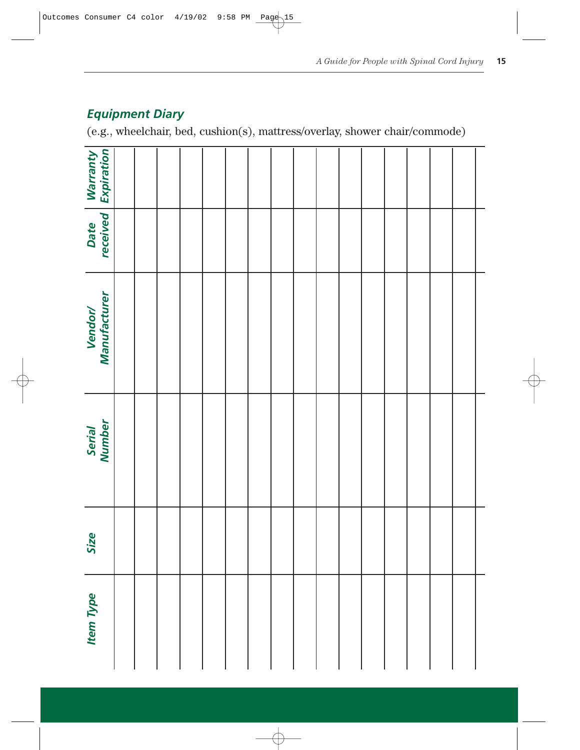| <b>Item Type</b> | Size | Serial<br>Number | Vendor/<br>Manufacturer | Date<br>received | <b>Warranty</b><br>Expiration |
|------------------|------|------------------|-------------------------|------------------|-------------------------------|
|                  |      |                  |                         |                  |                               |
|                  |      |                  |                         |                  |                               |
|                  |      |                  |                         |                  |                               |
|                  |      |                  |                         |                  |                               |
|                  |      |                  |                         |                  |                               |
|                  |      |                  |                         |                  |                               |
|                  |      |                  |                         |                  |                               |
|                  |      |                  |                         |                  |                               |
|                  |      |                  |                         |                  |                               |
|                  |      |                  |                         |                  |                               |
|                  |      |                  |                         |                  |                               |
|                  |      |                  |                         |                  |                               |
|                  |      |                  |                         |                  |                               |
|                  |      |                  |                         |                  |                               |
|                  |      |                  |                         |                  |                               |
|                  |      |                  |                         |                  |                               |
|                  |      |                  |                         |                  |                               |

## *Equipment Diary*

(e.g., wheelchair, bed, cushion(s), mattress/overlay, shower chair/commode)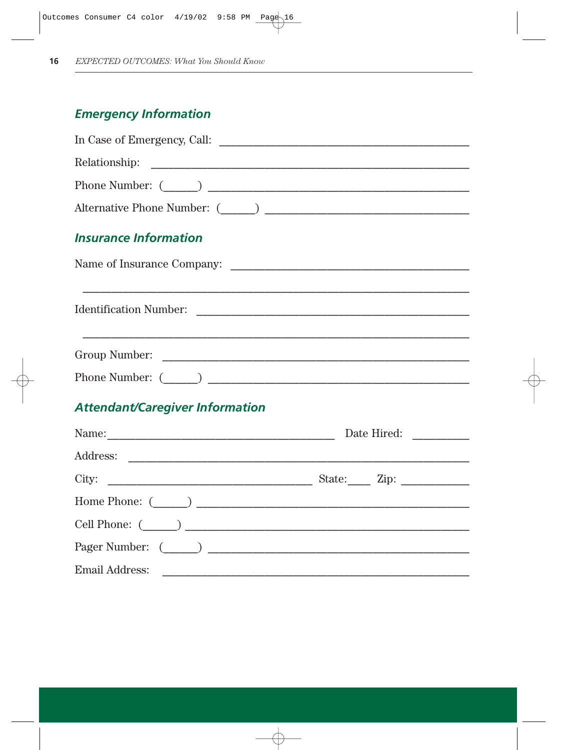## **Emergency Information**

| <b>Insurance Information</b>                                                     |             |
|----------------------------------------------------------------------------------|-------------|
|                                                                                  |             |
| ,我们也不能在这里的时候,我们也不能在这里的时候,我们也不能不能在这里的时候,我们也不能会不能会不能会不能会不能会不能会不能会不能会不能会不能会不能会不能会不能 |             |
|                                                                                  |             |
|                                                                                  |             |
| <b>Attendant/Caregiver Information</b>                                           |             |
|                                                                                  | Date Hired: |
|                                                                                  |             |
|                                                                                  |             |

| Home Phone: ()   |
|------------------|
| Cell Phone: ()   |
| Pager Number: () |
| Email Address:   |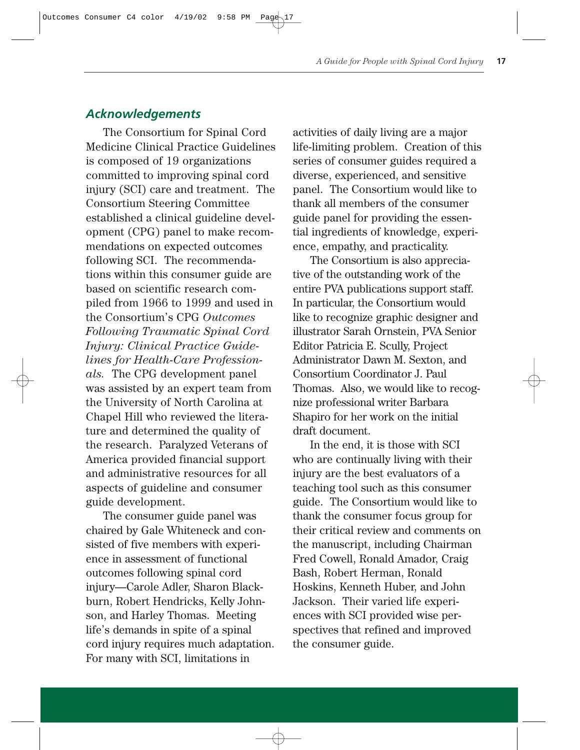#### *Acknowledgements*

The Consortium for Spinal Cord Medicine Clinical Practice Guidelines is composed of 19 organizations committed to improving spinal cord injury (SCI) care and treatment. The Consortium Steering Committee established a clinical guideline development (CPG) panel to make recommendations on expected outcomes following SCI. The recommendations within this consumer guide are based on scientific research compiled from 1966 to 1999 and used in the Consortium's CPG *Outcomes Following Traumatic Spinal Cord Injury: Clinical Practice Guidelines for Health-Care Professionals.* The CPG development panel was assisted by an expert team from the University of North Carolina at Chapel Hill who reviewed the literature and determined the quality of the research. Paralyzed Veterans of America provided financial support and administrative resources for all aspects of guideline and consumer guide development.

The consumer guide panel was chaired by Gale Whiteneck and consisted of five members with experience in assessment of functional outcomes following spinal cord injury—Carole Adler, Sharon Blackburn, Robert Hendricks, Kelly Johnson, and Harley Thomas. Meeting life's demands in spite of a spinal cord injury requires much adaptation. For many with SCI, limitations in

activities of daily living are a major life-limiting problem. Creation of this series of consumer guides required a diverse, experienced, and sensitive panel. The Consortium would like to thank all members of the consumer guide panel for providing the essential ingredients of knowledge, experience, empathy, and practicality.

The Consortium is also appreciative of the outstanding work of the entire PVA publications support staff. In particular, the Consortium would like to recognize graphic designer and illustrator Sarah Ornstein, PVA Senior Editor Patricia E. Scully, Project Administrator Dawn M. Sexton, and Consortium Coordinator J. Paul Thomas. Also, we would like to recognize professional writer Barbara Shapiro for her work on the initial draft document.

In the end, it is those with SCI who are continually living with their injury are the best evaluators of a teaching tool such as this consumer guide. The Consortium would like to thank the consumer focus group for their critical review and comments on the manuscript, including Chairman Fred Cowell, Ronald Amador, Craig Bash, Robert Herman, Ronald Hoskins, Kenneth Huber, and John Jackson. Their varied life experiences with SCI provided wise perspectives that refined and improved the consumer guide.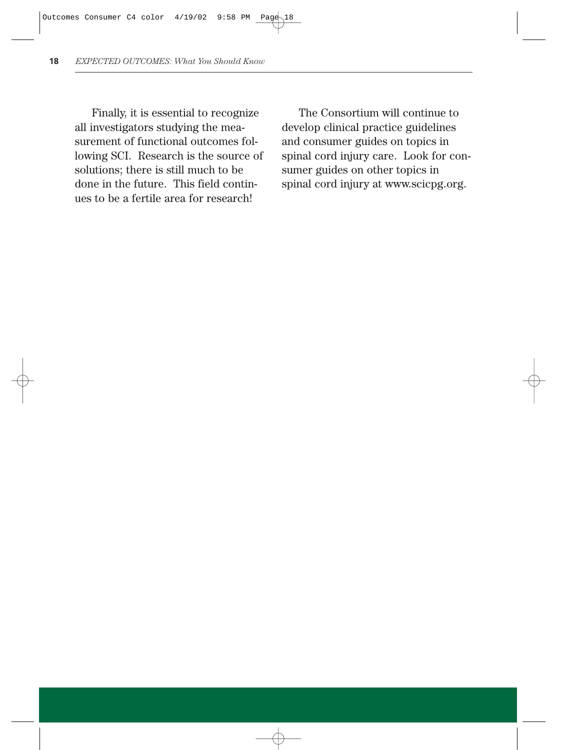Finally, it is essential to recognize all investigators studying the measurement of functional outcomes following SCI. Research is the source of solutions; there is still much to be done in the future. This field continues to be a fertile area for research!

The Consortium will continue to develop clinical practice guidelines and consumer guides on topics in spinal cord injury care. Look for consumer guides on other topics in spinal cord injury at www.scicpg.org.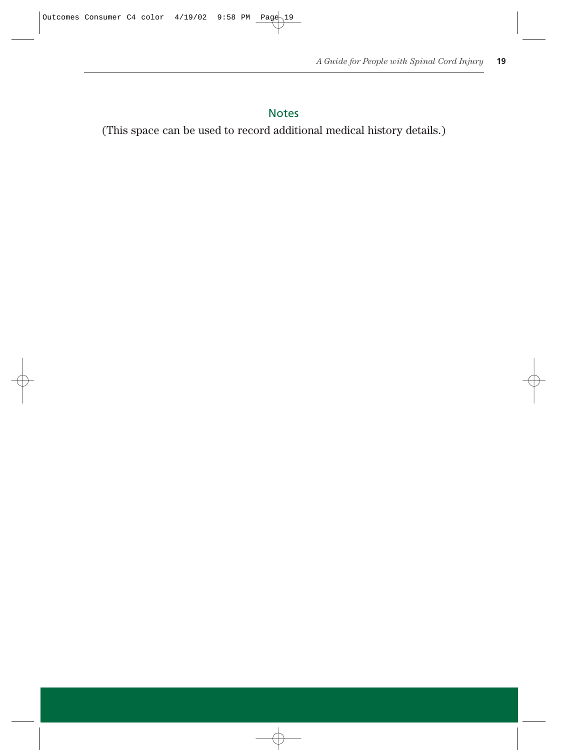#### Notes

(This space can be used to record additional medical history details.)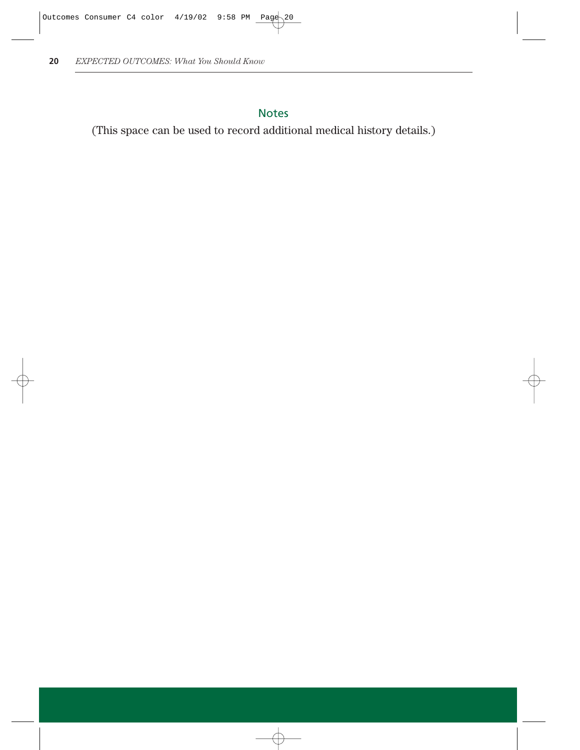## Notes

(This space can be used to record additional medical history details.)